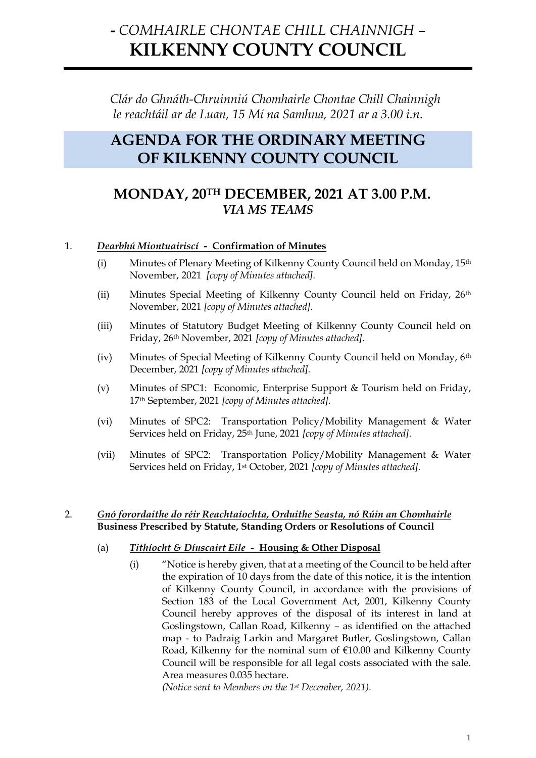# **-** *COMHAIRLE CHONTAE CHILL CHAINNIGH –* **KILKENNY COUNTY COUNCIL**

*Clár do Ghnáth-Chruinniú Chomhairle Chontae Chill Chainnigh le reachtáil ar de Luan, 15 Mí na Samhna, 2021 ar a 3.00 i.n.*

## **AGENDA FOR THE ORDINARY MEETING OF KILKENNY COUNTY COUNCIL**

### **MONDAY, 20TH DECEMBER, 2021 AT 3.00 P.M.** *VIA MS TEAMS*

#### 1. *Dearbhú Miontuairiscí -* **Confirmation of Minutes**

- (i) Minutes of Plenary Meeting of Kilkenny County Council held on Monday, 15th November, 2021 *[copy of Minutes attached].*
- (ii) Minutes Special Meeting of Kilkenny County Council held on Friday, 26th November, 2021 *[copy of Minutes attached].*
- (iii) Minutes of Statutory Budget Meeting of Kilkenny County Council held on Friday, 26th November, 2021 *[copy of Minutes attached].*
- (iv) Minutes of Special Meeting of Kilkenny County Council held on Monday, 6th December, 2021 *[copy of Minutes attached].*
- (v) Minutes of SPC1: Economic, Enterprise Support & Tourism held on Friday, 17th September, 2021 *[copy of Minutes attached].*
- (vi) Minutes of SPC2: Transportation Policy/Mobility Management & Water Services held on Friday, 25th June, 2021 *[copy of Minutes attached].*
- (vii) Minutes of SPC2: Transportation Policy/Mobility Management & Water Services held on Friday, 1st October, 2021 *[copy of Minutes attached].*

#### 2. *Gnó forordaithe do réir Reachtaíochta, Orduithe Seasta, nó Rúin an Chomhairle* **Business Prescribed by Statute, Standing Orders or Resolutions of Council**

#### (a) *Tithíocht & Díuscairt Eile -* **Housing & Other Disposal**

(i) "Notice is hereby given, that at a meeting of the Council to be held after the expiration of 10 days from the date of this notice, it is the intention of Kilkenny County Council, in accordance with the provisions of Section 183 of the Local Government Act, 2001, Kilkenny County Council hereby approves of the disposal of its interest in land at Goslingstown, Callan Road, Kilkenny – as identified on the attached map - to Padraig Larkin and Margaret Butler, Goslingstown, Callan Road, Kilkenny for the nominal sum of €10.00 and Kilkenny County Council will be responsible for all legal costs associated with the sale. Area measures 0.035 hectare.

*(Notice sent to Members on the 1st December, 2021).*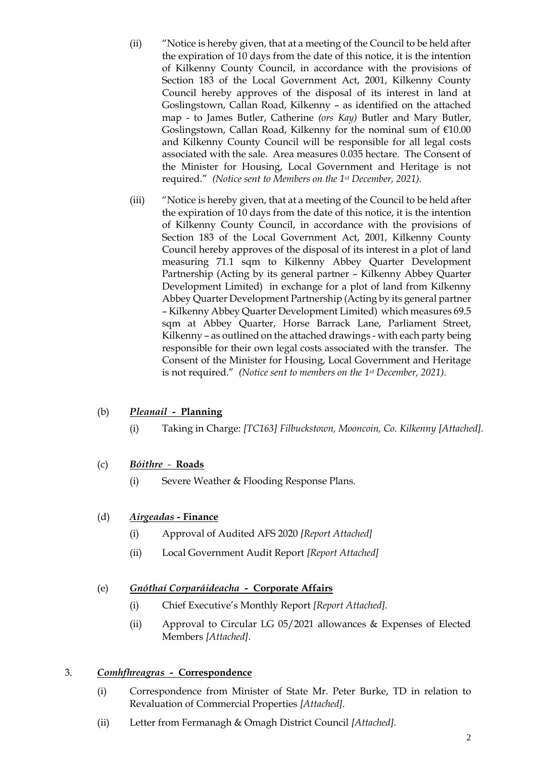- (ii) "Notice is hereby given, that at a meeting of the Council to be held after the expiration of 10 days from the date of this notice, it is the intention of Kilkenny County Council, in accordance with the provisions of Section 183 of the Local Government Act, 2001, Kilkenny County Council hereby approves of the disposal of its interest in land at Goslingstown, Callan Road, Kilkenny – as identified on the attached map - to James Butler, Catherine *(ors Kay)* Butler and Mary Butler, Goslingstown, Callan Road, Kilkenny for the nominal sum of €10.00 and Kilkenny County Council will be responsible for all legal costs associated with the sale. Area measures 0.035 hectare. The Consent of the Minister for Housing, Local Government and Heritage is not required." *(Notice sent to Members on the 1st December, 2021).*
- (iii) "Notice is hereby given, that at a meeting of the Council to be held after the expiration of 10 days from the date of this notice, it is the intention of Kilkenny County Council, in accordance with the provisions of Section 183 of the Local Government Act, 2001, Kilkenny County Council hereby approves of the disposal of its interest in a plot of land measuring 71.1 sqm to Kilkenny Abbey Quarter Development Partnership (Acting by its general partner – Kilkenny Abbey Quarter Development Limited) in exchange for a plot of land from Kilkenny Abbey Quarter Development Partnership (Acting by its general partner – Kilkenny Abbey Quarter Development Limited) which measures 69.5 sqm at Abbey Quarter, Horse Barrack Lane, Parliament Street, Kilkenny – as outlined on the attached drawings - with each party being responsible for their own legal costs associated with the transfer. The Consent of the Minister for Housing, Local Government and Heritage is not required." *(Notice sent to members on the 1st December, 2021).*

#### (b) *Pleanail -* **Planning**

(i) Taking in Charge: *[TC163] Filbuckstown, Mooncoin, Co. Kilkenny [Attached].*

#### (c) *Bóithre**-* **Roads**

(i) Severe Weather & Flooding Response Plans.

#### (d) *Airgeadas -* **Finance**

- (i) Approval of Audited AFS 2020 *[Report Attached]*
- (ii) Local Government Audit Report *[Report Attached]*

#### (e) *Gnóthaí Corparáideacha -* **Corporate Affairs**

- (i) Chief Executive's Monthly Report *[Report Attached].*
- (ii) Approval to Circular LG 05/2021 allowances & Expenses of Elected Members *[Attached]*.

#### 3. *Comhfhreagras -* **Correspondence**

- (i) Correspondence from Minister of State Mr. Peter Burke, TD in relation to Revaluation of Commercial Properties *[Attached].*
- (ii) Letter from Fermanagh & Omagh District Council *[Attached].*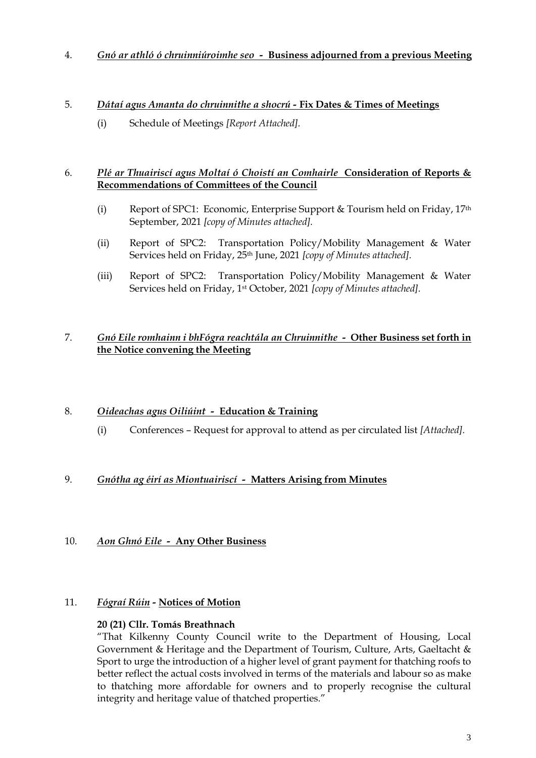4. *Gnó ar athló ó chruinniúroimhe seo -* **Business adjourned from a previous Meeting**

#### 5. *Dátaí agus Amanta do chruinnithe a shocrú -* **Fix Dates & Times of Meetings**

(i) Schedule of Meetings *[Report Attached].*

#### 6. *Plé ar Thuairiscí agus Moltaí ó Choistí an Comhairle* **Consideration of Reports & Recommendations of Committees of the Council**

- (i) Report of SPC1: Economic, Enterprise Support  $\&$  Tourism held on Friday, 17<sup>th</sup> September, 2021 *[copy of Minutes attached].*
- (ii) Report of SPC2: Transportation Policy/Mobility Management & Water Services held on Friday, 25th June, 2021 *[copy of Minutes attached].*
- (iii) Report of SPC2: Transportation Policy/Mobility Management & Water Services held on Friday, 1st October, 2021 *[copy of Minutes attached].*

#### 7. *Gnó Eile romhainn i bhFógra reachtála an Chruinnithe -* **Other Business set forth in the Notice convening the Meeting**

#### 8. *Oideachas agus Oiliúint -* **Education & Training**

(i) Conferences – Request for approval to attend as per circulated list *[Attached].*

#### 9. *Gnótha ag éirí as Miontuairiscí -* **Matters Arising from Minutes**

#### 10. *Aon Ghnó Eile -* **Any Other Business**

#### 11. *Fógraí Rúin -* **Notices of Motion**

#### **20 (21) Cllr. Tomás Breathnach**

"That Kilkenny County Council write to the Department of Housing, Local Government & Heritage and the Department of Tourism, Culture, Arts, Gaeltacht & Sport to urge the introduction of a higher level of grant payment for thatching roofs to better reflect the actual costs involved in terms of the materials and labour so as make to thatching more affordable for owners and to properly recognise the cultural integrity and heritage value of thatched properties."